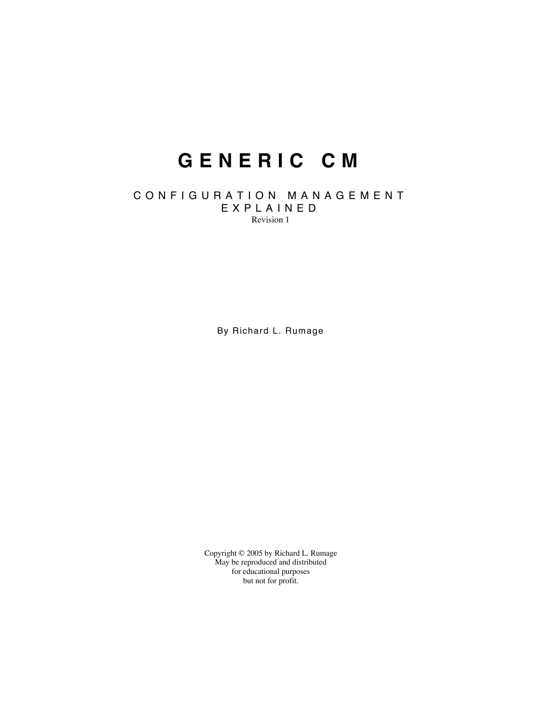# **G E N E R I C C M**

#### C O N F I G U R A T I O N M A N A G E M E N T E X P L A I N E D Revision 1

By Richard L. Rumage

Copyright © 2005 by Richard L. Rumage May be reproduced and distributed for educational purposes but not for profit.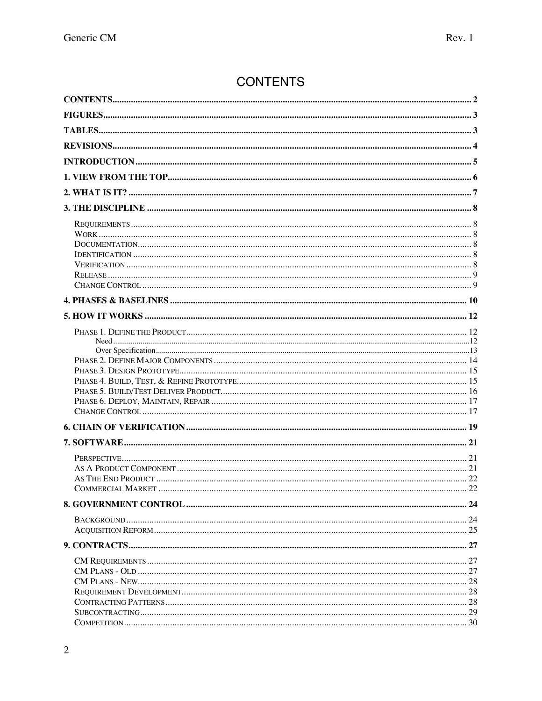# **CONTENTS**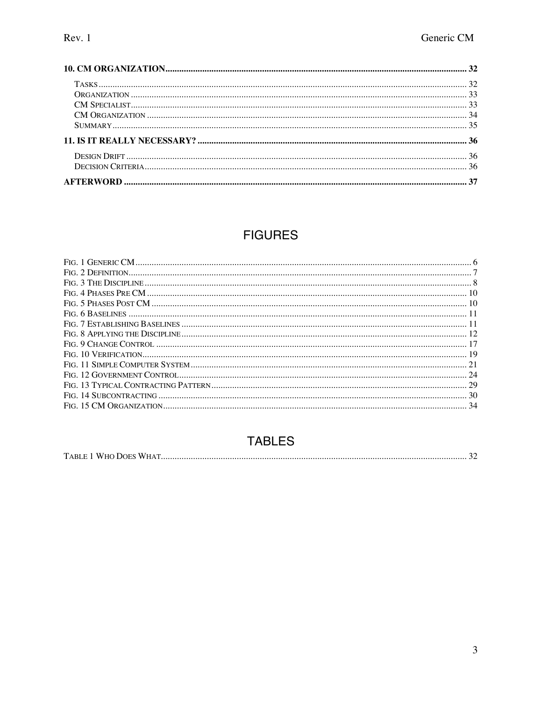# **FIGURES**

# **TABLES**

|--|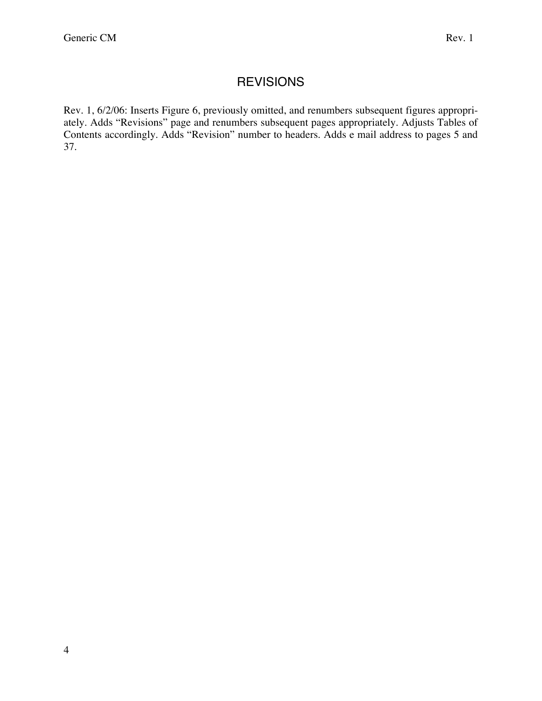# **REVISIONS**

Rev. 1, 6/2/06: Inserts Figure 6, previously omitted, and renumbers subsequent figures appropriately. Adds "Revisions" page and renumbers subsequent pages appropriately. Adjusts Tables of Contents accordingly. Adds "Revision" number to headers. Adds e mail address to pages 5 and 37.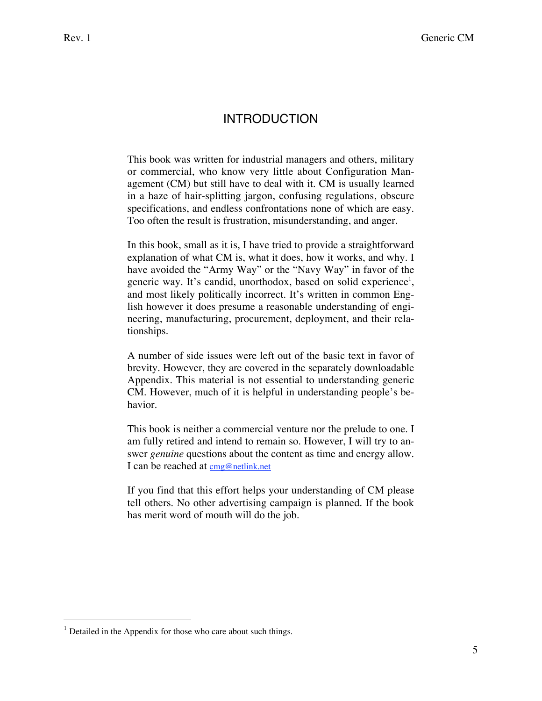# INTRODUCTION

This book was written for industrial managers and others, military or commercial, who know very little about Configuration Management (CM) but still have to deal with it. CM is usually learned in a haze of hair-splitting jargon, confusing regulations, obscure specifications, and endless confrontations none of which are easy. Too often the result is frustration, misunderstanding, and anger.

In this book, small as it is, I have tried to provide a straightforward explanation of what CM is, what it does, how it works, and why. I have avoided the "Army Way" or the "Navy Way" in favor of the generic way. It's candid, unorthodox, based on solid experience<sup>1</sup>, and most likely politically incorrect. It's written in common English however it does presume a reasonable understanding of engineering, manufacturing, procurement, deployment, and their relationships.

A number of side issues were left out of the basic text in favor of brevity. However, they are covered in the separately downloadable Appendix. This material is not essential to understanding generic CM. However, much of it is helpful in understanding people's behavior.

This book is neither a commercial venture nor the prelude to one. I am fully retired and intend to remain so. However, I will try to answer *genuine* questions about the content as time and energy allow. I can be reached at cmg@netlink.net

If you find that this effort helps your understanding of CM please tell others. No other advertising campaign is planned. If the book has merit word of mouth will do the job.

 $\overline{a}$ 

 $1$  Detailed in the Appendix for those who care about such things.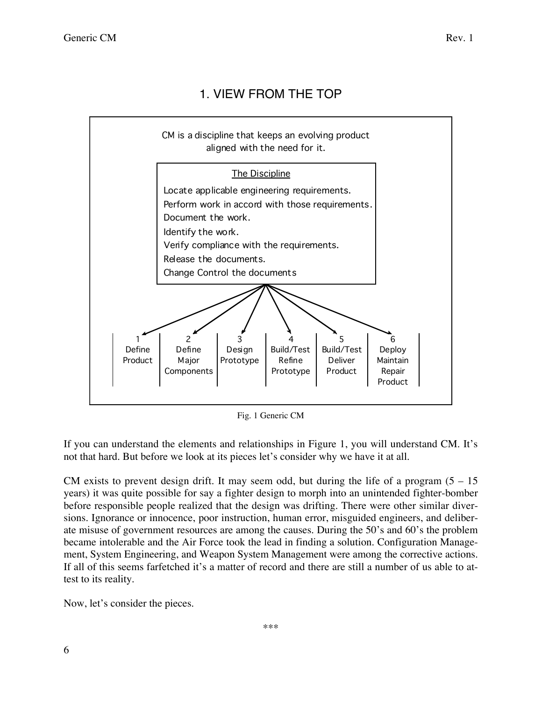# 1. VIEW FROM THE TOP



Fig. 1 Generic CM

If you can understand the elements and relationships in Figure 1, you will understand CM. It's not that hard. But before we look at its pieces let's consider why we have it at all.

CM exists to prevent design drift. It may seem odd, but during the life of a program  $(5 - 15)$ years) it was quite possible for say a fighter design to morph into an unintended fighter-bomber before responsible people realized that the design was drifting. There were other similar diversions. Ignorance or innocence, poor instruction, human error, misguided engineers, and deliberate misuse of government resources are among the causes. During the 50's and 60's the problem became intolerable and the Air Force took the lead in finding a solution. Configuration Management, System Engineering, and Weapon System Management were among the corrective actions. If all of this seems farfetched it's a matter of record and there are still a number of us able to attest to its reality.

Now, let's consider the pieces.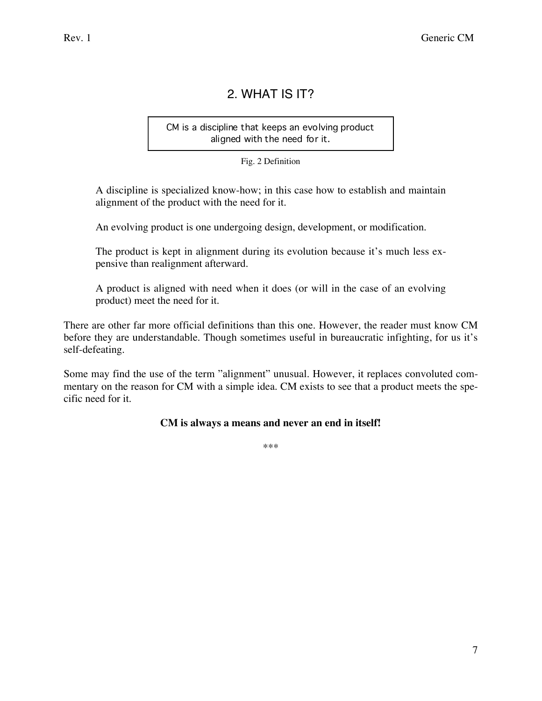# 2. WHAT IS IT?

CM is a discipline that keeps an evolving product aligned with the need for it.

Fig. 2 Definition

A discipline is specialized know-how; in this case how to establish and maintain alignment of the product with the need for it.

An evolving product is one undergoing design, development, or modification.

The product is kept in alignment during its evolution because it's much less expensive than realignment afterward.

A product is aligned with need when it does (or will in the case of an evolving product) meet the need for it.

There are other far more official definitions than this one. However, the reader must know CM before they are understandable. Though sometimes useful in bureaucratic infighting, for us it's self-defeating.

Some may find the use of the term "alignment" unusual. However, it replaces convoluted commentary on the reason for CM with a simple idea. CM exists to see that a product meets the specific need for it.

### **CM is always a means and never an end in itself!**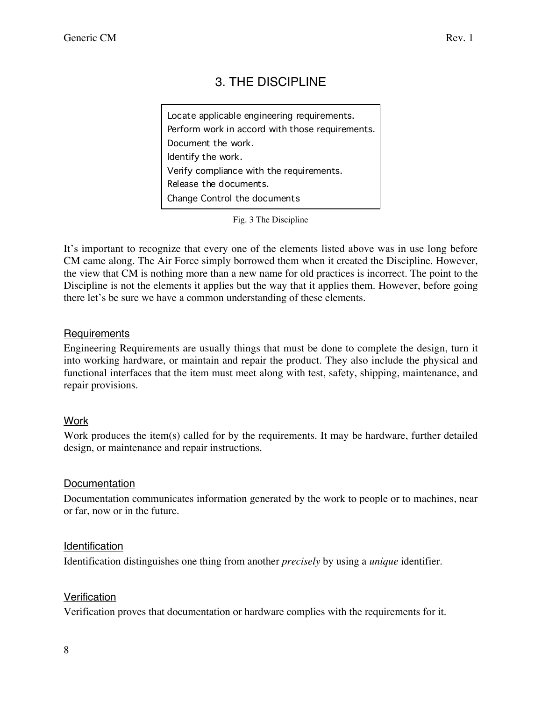# 3. THE DISCIPLINE

Locate applicable engineering requirements. Document the work. Identify the work. Release the documents. Change Control the documents Verify compliance with the requirements. Perform work in accord with those requirements.

It's important to recognize that every one of the elements listed above was in use long before CM came along. The Air Force simply borrowed them when it created the Discipline. However, the view that CM is nothing more than a new name for old practices is incorrect. The point to the Discipline is not the elements it applies but the way that it applies them. However, before going there let's be sure we have a common understanding of these elements.

### Requirements

Engineering Requirements are usually things that must be done to complete the design, turn it into working hardware, or maintain and repair the product. They also include the physical and functional interfaces that the item must meet along with test, safety, shipping, maintenance, and repair provisions.

# **Work**

Work produces the item(s) called for by the requirements. It may be hardware, further detailed design, or maintenance and repair instructions.

### Documentation

Documentation communicates information generated by the work to people or to machines, near or far, now or in the future.

### Identification

Identification distinguishes one thing from another *precisely* by using a *unique* identifier.

### **Verification**

Verification proves that documentation or hardware complies with the requirements for it.

Fig. 3 The Discipline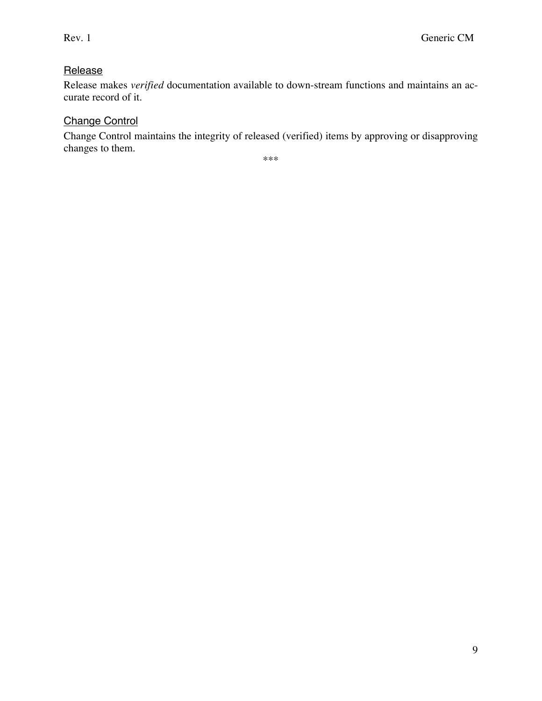# **Release**

Release makes *verified* documentation available to down-stream functions and maintains an accurate record of it.

# Change Control

Change Control maintains the integrity of released (verified) items by approving or disapproving changes to them.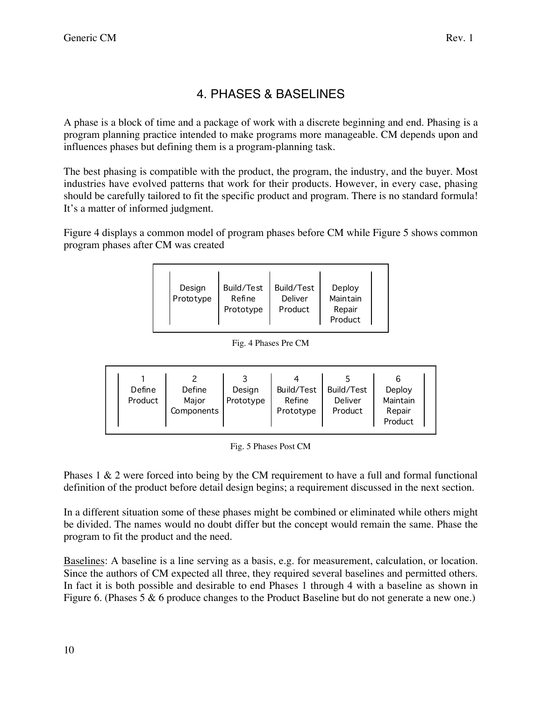# 4. PHASES & BASELINES

A phase is a block of time and a package of work with a discrete beginning and end. Phasing is a program planning practice intended to make programs more manageable. CM depends upon and influences phases but defining them is a program-planning task.

The best phasing is compatible with the product, the program, the industry, and the buyer. Most industries have evolved patterns that work for their products. However, in every case, phasing should be carefully tailored to fit the specific product and program. There is no standard formula! It's a matter of informed judgment.

Figure 4 displays a common model of program phases before CM while Figure 5 shows common program phases after CM was created

| Design<br>Prototype | Build/Test<br>Refine<br>Prototype | Build/Test<br>Deliver<br>Product | Deploy<br>Maintain<br>Repair<br>Product |  |
|---------------------|-----------------------------------|----------------------------------|-----------------------------------------|--|
|---------------------|-----------------------------------|----------------------------------|-----------------------------------------|--|

#### Fig. 4 Phases Pre CM

| Define  | Define              | Design    | Build/Test          | Build/Test         | Deploy                        |
|---------|---------------------|-----------|---------------------|--------------------|-------------------------------|
| Product | Major<br>Components | Prototype | Refine<br>Prototype | Deliver<br>Product | Maintain<br>Repair<br>Product |

Fig. 5 Phases Post CM

Phases 1 & 2 were forced into being by the CM requirement to have a full and formal functional definition of the product before detail design begins; a requirement discussed in the next section.

In a different situation some of these phases might be combined or eliminated while others might be divided. The names would no doubt differ but the concept would remain the same. Phase the program to fit the product and the need.

Baselines: A baseline is a line serving as a basis, e.g. for measurement, calculation, or location. Since the authors of CM expected all three, they required several baselines and permitted others. In fact it is both possible and desirable to end Phases 1 through 4 with a baseline as shown in Figure 6. (Phases 5 & 6 produce changes to the Product Baseline but do not generate a new one.)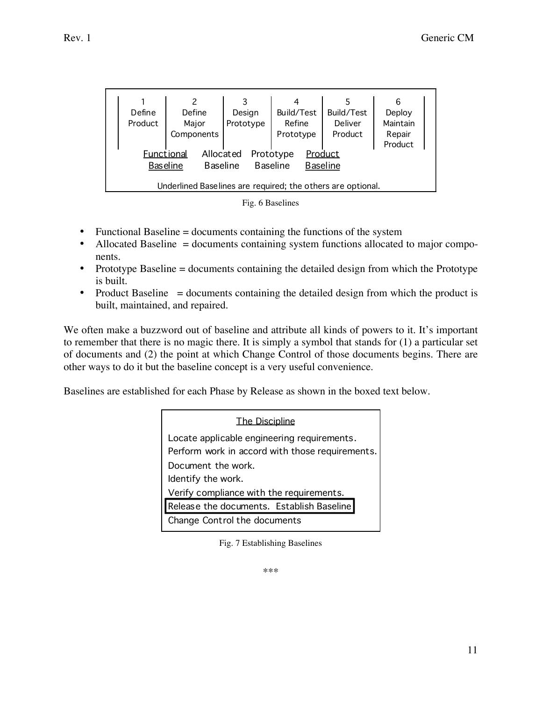|                                                             |                                    |           |                     |                    | 6                  |
|-------------------------------------------------------------|------------------------------------|-----------|---------------------|--------------------|--------------------|
| Define                                                      | Define                             | Design    | Build/Test          | Build/Test         | Deploy             |
| Product                                                     | Major<br>Components                | Prototype | Refine<br>Prototype | Deliver<br>Product | Maintain<br>Repair |
|                                                             |                                    |           |                     |                    | Product            |
| <b>Functional</b>                                           | Allocated                          |           | Prototype           | Product            |                    |
|                                                             | <b>Baseline</b><br><b>Baseline</b> |           | <b>Baseline</b>     | <b>Baseline</b>    |                    |
| Underlined Baselines are required; the others are optional. |                                    |           |                     |                    |                    |



- Functional Baseline = documents containing the functions of the system
- Allocated Baseline = documents containing system functions allocated to major components.
- Prototype Baseline = documents containing the detailed design from which the Prototype is built.
- Product Baseline = documents containing the detailed design from which the product is built, maintained, and repaired.

We often make a buzzword out of baseline and attribute all kinds of powers to it. It's important to remember that there is no magic there. It is simply a symbol that stands for (1) a particular set of documents and (2) the point at which Change Control of those documents begins. There are other ways to do it but the baseline concept is a very useful convenience.

Baselines are established for each Phase by Release as shown in the boxed text below.

| The Discipline                                                                                 |
|------------------------------------------------------------------------------------------------|
| Locate applicable engineering requirements.<br>Perform work in accord with those requirements. |
| Document the work.                                                                             |
| Identify the work.                                                                             |
| Verify compliance with the requirements.                                                       |
| Release the documents. Establish Baseline                                                      |
| Change Control the documents                                                                   |

Fig. 7 Establishing Baselines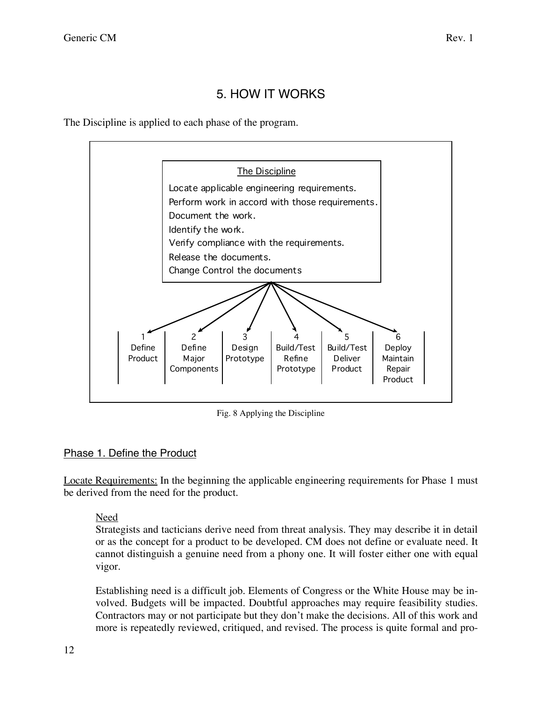# 5. HOW IT WORKS

The Discipline is applied to each phase of the program.



Fig. 8 Applying the Discipline

# Phase 1. Define the Product

Locate Requirements: In the beginning the applicable engineering requirements for Phase 1 must be derived from the need for the product.

# Need

Strategists and tacticians derive need from threat analysis. They may describe it in detail or as the concept for a product to be developed. CM does not define or evaluate need. It cannot distinguish a genuine need from a phony one. It will foster either one with equal vigor.

Establishing need is a difficult job. Elements of Congress or the White House may be involved. Budgets will be impacted. Doubtful approaches may require feasibility studies. Contractors may or not participate but they don't make the decisions. All of this work and more is repeatedly reviewed, critiqued, and revised. The process is quite formal and pro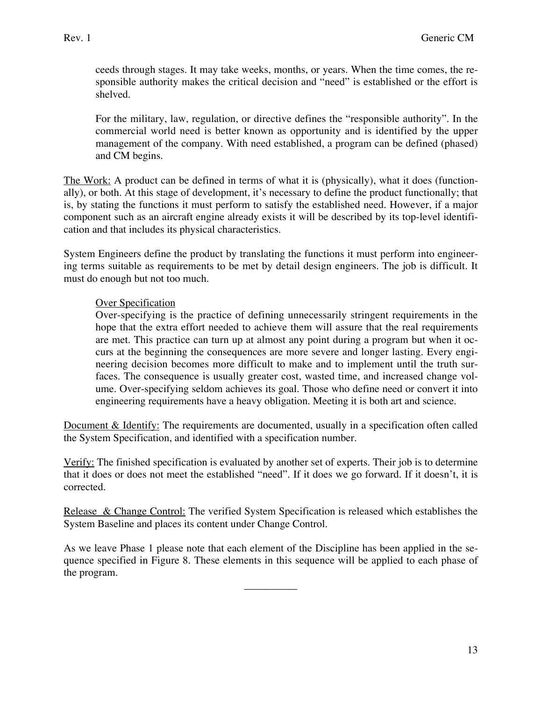ceeds through stages. It may take weeks, months, or years. When the time comes, the responsible authority makes the critical decision and "need" is established or the effort is shelved.

For the military, law, regulation, or directive defines the "responsible authority". In the commercial world need is better known as opportunity and is identified by the upper management of the company. With need established, a program can be defined (phased) and CM begins.

The Work: A product can be defined in terms of what it is (physically), what it does (functionally), or both. At this stage of development, it's necessary to define the product functionally; that is, by stating the functions it must perform to satisfy the established need. However, if a major component such as an aircraft engine already exists it will be described by its top-level identification and that includes its physical characteristics.

System Engineers define the product by translating the functions it must perform into engineering terms suitable as requirements to be met by detail design engineers. The job is difficult. It must do enough but not too much.

### Over Specification

Over-specifying is the practice of defining unnecessarily stringent requirements in the hope that the extra effort needed to achieve them will assure that the real requirements are met. This practice can turn up at almost any point during a program but when it occurs at the beginning the consequences are more severe and longer lasting. Every engineering decision becomes more difficult to make and to implement until the truth surfaces. The consequence is usually greater cost, wasted time, and increased change volume. Over-specifying seldom achieves its goal. Those who define need or convert it into engineering requirements have a heavy obligation. Meeting it is both art and science.

Document & Identify: The requirements are documented, usually in a specification often called the System Specification, and identified with a specification number.

Verify: The finished specification is evaluated by another set of experts. Their job is to determine that it does or does not meet the established "need". If it does we go forward. If it doesn't, it is corrected.

Release & Change Control: The verified System Specification is released which establishes the System Baseline and places its content under Change Control.

As we leave Phase 1 please note that each element of the Discipline has been applied in the sequence specified in Figure 8. These elements in this sequence will be applied to each phase of the program.

\_\_\_\_\_\_\_\_\_\_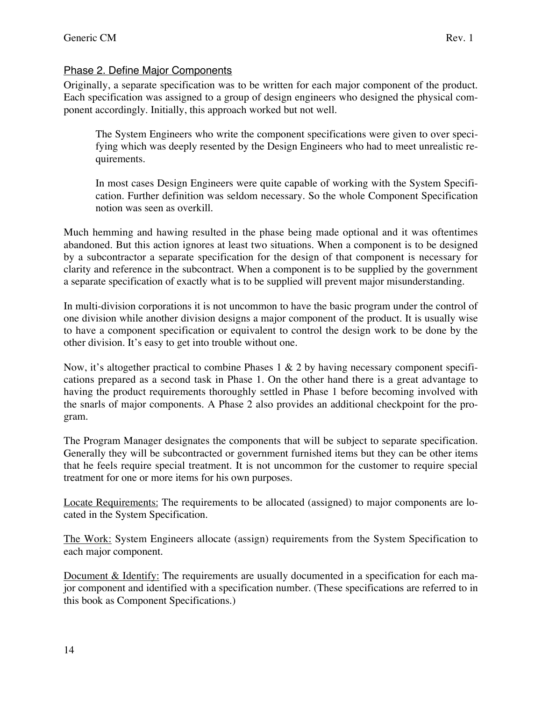# Phase 2. Define Major Components

Originally, a separate specification was to be written for each major component of the product. Each specification was assigned to a group of design engineers who designed the physical component accordingly. Initially, this approach worked but not well.

The System Engineers who write the component specifications were given to over specifying which was deeply resented by the Design Engineers who had to meet unrealistic requirements.

In most cases Design Engineers were quite capable of working with the System Specification. Further definition was seldom necessary. So the whole Component Specification notion was seen as overkill.

Much hemming and hawing resulted in the phase being made optional and it was oftentimes abandoned. But this action ignores at least two situations. When a component is to be designed by a subcontractor a separate specification for the design of that component is necessary for clarity and reference in the subcontract. When a component is to be supplied by the government a separate specification of exactly what is to be supplied will prevent major misunderstanding.

In multi-division corporations it is not uncommon to have the basic program under the control of one division while another division designs a major component of the product. It is usually wise to have a component specification or equivalent to control the design work to be done by the other division. It's easy to get into trouble without one.

Now, it's altogether practical to combine Phases  $1 \& 2$  by having necessary component specifications prepared as a second task in Phase 1. On the other hand there is a great advantage to having the product requirements thoroughly settled in Phase 1 before becoming involved with the snarls of major components. A Phase 2 also provides an additional checkpoint for the program.

The Program Manager designates the components that will be subject to separate specification. Generally they will be subcontracted or government furnished items but they can be other items that he feels require special treatment. It is not uncommon for the customer to require special treatment for one or more items for his own purposes.

Locate Requirements: The requirements to be allocated (assigned) to major components are located in the System Specification.

The Work: System Engineers allocate (assign) requirements from the System Specification to each major component.

Document & Identify: The requirements are usually documented in a specification for each major component and identified with a specification number. (These specifications are referred to in this book as Component Specifications.)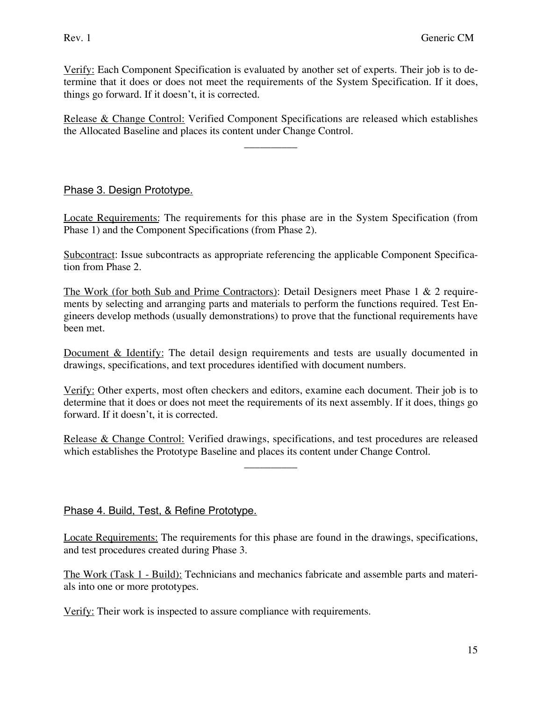Verify: Each Component Specification is evaluated by another set of experts. Their job is to determine that it does or does not meet the requirements of the System Specification. If it does, things go forward. If it doesn't, it is corrected.

Release & Change Control: Verified Component Specifications are released which establishes the Allocated Baseline and places its content under Change Control.

\_\_\_\_\_\_\_\_\_\_

Phase 3. Design Prototype.

Locate Requirements: The requirements for this phase are in the System Specification (from Phase 1) and the Component Specifications (from Phase 2).

Subcontract: Issue subcontracts as appropriate referencing the applicable Component Specification from Phase 2.

The Work (for both Sub and Prime Contractors): Detail Designers meet Phase 1 & 2 requirements by selecting and arranging parts and materials to perform the functions required. Test Engineers develop methods (usually demonstrations) to prove that the functional requirements have been met.

Document & Identify: The detail design requirements and tests are usually documented in drawings, specifications, and text procedures identified with document numbers.

Verify: Other experts, most often checkers and editors, examine each document. Their job is to determine that it does or does not meet the requirements of its next assembly. If it does, things go forward. If it doesn't, it is corrected.

Release & Change Control: Verified drawings, specifications, and test procedures are released which establishes the Prototype Baseline and places its content under Change Control.

 $\overline{\phantom{a}}$  , where  $\overline{\phantom{a}}$ 

Phase 4. Build, Test, & Refine Prototype.

Locate Requirements: The requirements for this phase are found in the drawings, specifications, and test procedures created during Phase 3.

The Work (Task 1 - Build): Technicians and mechanics fabricate and assemble parts and materials into one or more prototypes.

Verify: Their work is inspected to assure compliance with requirements.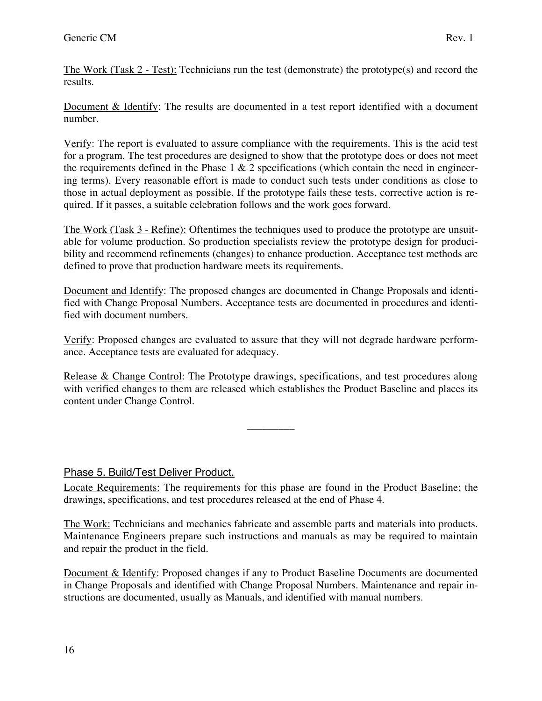The Work (Task 2 - Test): Technicians run the test (demonstrate) the prototype(s) and record the results.

Document & Identify: The results are documented in a test report identified with a document number.

Verify: The report is evaluated to assure compliance with the requirements. This is the acid test for a program. The test procedures are designed to show that the prototype does or does not meet the requirements defined in the Phase  $1 \& 2$  specifications (which contain the need in engineering terms). Every reasonable effort is made to conduct such tests under conditions as close to those in actual deployment as possible. If the prototype fails these tests, corrective action is required. If it passes, a suitable celebration follows and the work goes forward.

The Work (Task 3 - Refine): Oftentimes the techniques used to produce the prototype are unsuitable for volume production. So production specialists review the prototype design for producibility and recommend refinements (changes) to enhance production. Acceptance test methods are defined to prove that production hardware meets its requirements.

Document and Identify: The proposed changes are documented in Change Proposals and identified with Change Proposal Numbers. Acceptance tests are documented in procedures and identified with document numbers.

Verify: Proposed changes are evaluated to assure that they will not degrade hardware performance. Acceptance tests are evaluated for adequacy.

Release & Change Control: The Prototype drawings, specifications, and test procedures along with verified changes to them are released which establishes the Product Baseline and places its content under Change Control.

 $\overline{\phantom{a}}$  ,  $\overline{\phantom{a}}$ 

Phase 5. Build/Test Deliver Product.

Locate Requirements: The requirements for this phase are found in the Product Baseline; the drawings, specifications, and test procedures released at the end of Phase 4.

The Work: Technicians and mechanics fabricate and assemble parts and materials into products. Maintenance Engineers prepare such instructions and manuals as may be required to maintain and repair the product in the field.

Document & Identify: Proposed changes if any to Product Baseline Documents are documented in Change Proposals and identified with Change Proposal Numbers. Maintenance and repair instructions are documented, usually as Manuals, and identified with manual numbers.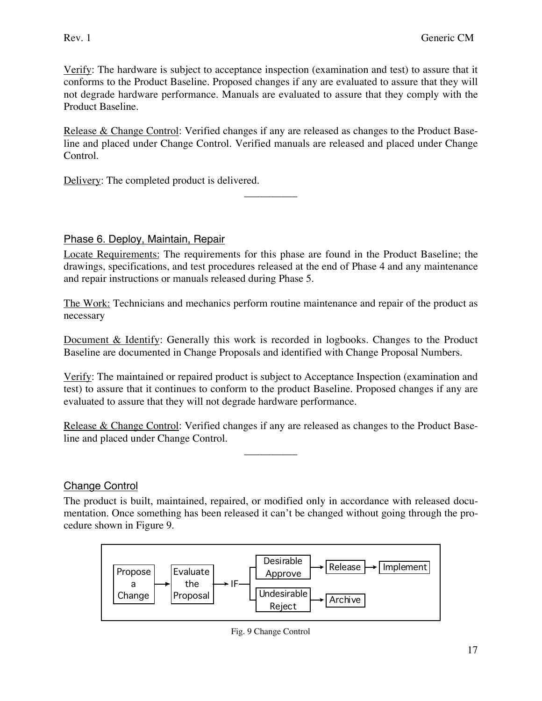Verify: The hardware is subject to acceptance inspection (examination and test) to assure that it conforms to the Product Baseline. Proposed changes if any are evaluated to assure that they will not degrade hardware performance. Manuals are evaluated to assure that they comply with the Product Baseline.

Release & Change Control: Verified changes if any are released as changes to the Product Baseline and placed under Change Control. Verified manuals are released and placed under Change Control.

 $\overline{\phantom{a}}$  , where  $\overline{\phantom{a}}$ 

Delivery: The completed product is delivered.

### Phase 6. Deploy, Maintain, Repair

Locate Requirements: The requirements for this phase are found in the Product Baseline; the drawings, specifications, and test procedures released at the end of Phase 4 and any maintenance and repair instructions or manuals released during Phase 5.

The Work: Technicians and mechanics perform routine maintenance and repair of the product as necessary

Document & Identify: Generally this work is recorded in logbooks. Changes to the Product Baseline are documented in Change Proposals and identified with Change Proposal Numbers.

Verify: The maintained or repaired product is subject to Acceptance Inspection (examination and test) to assure that it continues to conform to the product Baseline. Proposed changes if any are evaluated to assure that they will not degrade hardware performance.

Release & Change Control: Verified changes if any are released as changes to the Product Baseline and placed under Change Control.

 $\overline{\phantom{a}}$  , where  $\overline{\phantom{a}}$ 

# Change Control

The product is built, maintained, repaired, or modified only in accordance with released documentation. Once something has been released it can't be changed without going through the procedure shown in Figure 9.



Fig. 9 Change Control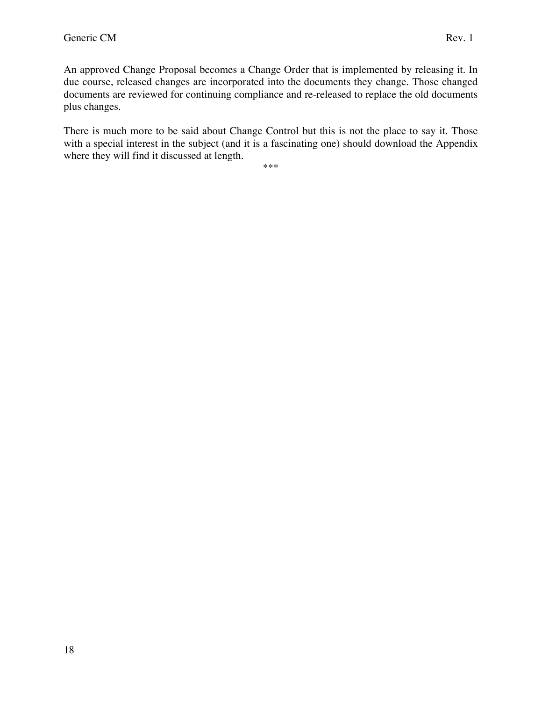An approved Change Proposal becomes a Change Order that is implemented by releasing it. In due course, released changes are incorporated into the documents they change. Those changed documents are reviewed for continuing compliance and re-released to replace the old documents plus changes.

There is much more to be said about Change Control but this is not the place to say it. Those with a special interest in the subject (and it is a fascinating one) should download the Appendix where they will find it discussed at length.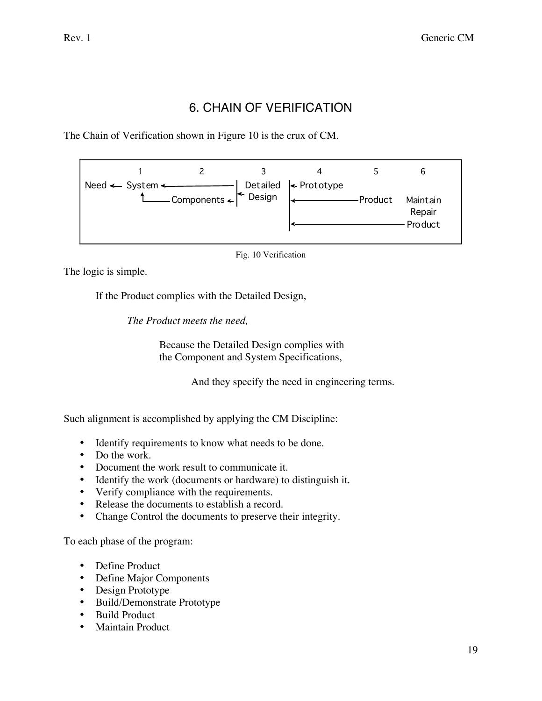# 6. CHAIN OF VERIFICATION

The Chain of Verification shown in Figure 10 is the crux of CM.



Fig. 10 Verification

The logic is simple.

If the Product complies with the Detailed Design,

*The Product meets the need,*

Because the Detailed Design complies with the Component and System Specifications,

And they specify the need in engineering terms.

Such alignment is accomplished by applying the CM Discipline:

- Identify requirements to know what needs to be done.
- Do the work.
- Document the work result to communicate it.
- Identify the work (documents or hardware) to distinguish it.
- Verify compliance with the requirements.
- Release the documents to establish a record.
- Change Control the documents to preserve their integrity.

To each phase of the program:

- Define Product
- Define Major Components
- Design Prototype
- Build/Demonstrate Prototype
- Build Product
- Maintain Product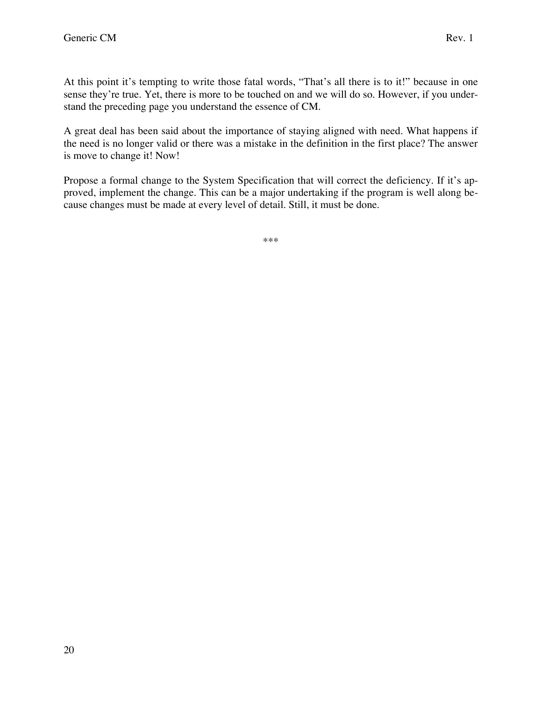At this point it's tempting to write those fatal words, "That's all there is to it!" because in one sense they're true. Yet, there is more to be touched on and we will do so. However, if you understand the preceding page you understand the essence of CM.

A great deal has been said about the importance of staying aligned with need. What happens if the need is no longer valid or there was a mistake in the definition in the first place? The answer is move to change it! Now!

Propose a formal change to the System Specification that will correct the deficiency. If it's approved, implement the change. This can be a major undertaking if the program is well along because changes must be made at every level of detail. Still, it must be done.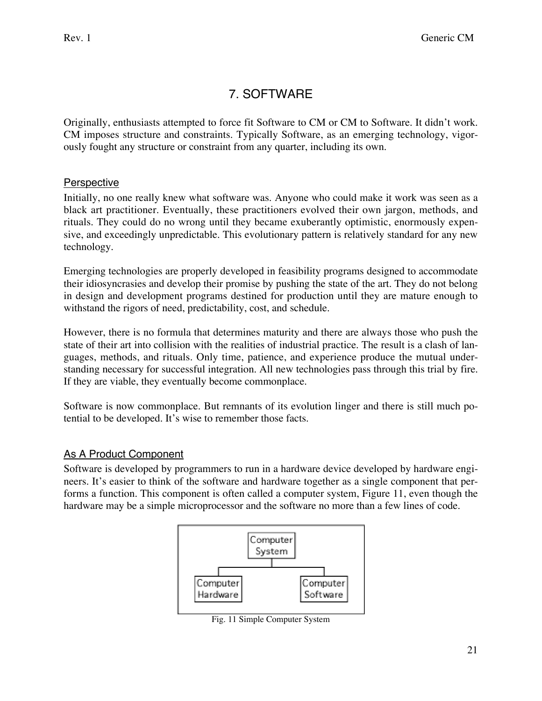# 7. SOFTWARE

Originally, enthusiasts attempted to force fit Software to CM or CM to Software. It didn't work. CM imposes structure and constraints. Typically Software, as an emerging technology, vigorously fought any structure or constraint from any quarter, including its own.

# Perspective

Initially, no one really knew what software was. Anyone who could make it work was seen as a black art practitioner. Eventually, these practitioners evolved their own jargon, methods, and rituals. They could do no wrong until they became exuberantly optimistic, enormously expensive, and exceedingly unpredictable. This evolutionary pattern is relatively standard for any new technology.

Emerging technologies are properly developed in feasibility programs designed to accommodate their idiosyncrasies and develop their promise by pushing the state of the art. They do not belong in design and development programs destined for production until they are mature enough to withstand the rigors of need, predictability, cost, and schedule.

However, there is no formula that determines maturity and there are always those who push the state of their art into collision with the realities of industrial practice. The result is a clash of languages, methods, and rituals. Only time, patience, and experience produce the mutual understanding necessary for successful integration. All new technologies pass through this trial by fire. If they are viable, they eventually become commonplace.

Software is now commonplace. But remnants of its evolution linger and there is still much potential to be developed. It's wise to remember those facts.

# As A Product Component

Software is developed by programmers to run in a hardware device developed by hardware engineers. It's easier to think of the software and hardware together as a single component that performs a function. This component is often called a computer system, Figure 11, even though the hardware may be a simple microprocessor and the software no more than a few lines of code.



Fig. 11 Simple Computer System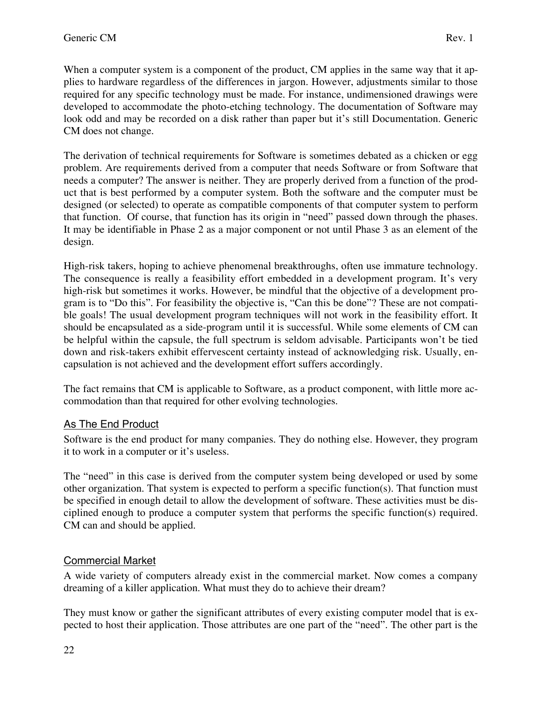When a computer system is a component of the product, CM applies in the same way that it applies to hardware regardless of the differences in jargon. However, adjustments similar to those required for any specific technology must be made. For instance, undimensioned drawings were developed to accommodate the photo-etching technology. The documentation of Software may look odd and may be recorded on a disk rather than paper but it's still Documentation. Generic CM does not change.

The derivation of technical requirements for Software is sometimes debated as a chicken or egg problem. Are requirements derived from a computer that needs Software or from Software that needs a computer? The answer is neither. They are properly derived from a function of the product that is best performed by a computer system. Both the software and the computer must be designed (or selected) to operate as compatible components of that computer system to perform that function. Of course, that function has its origin in "need" passed down through the phases. It may be identifiable in Phase 2 as a major component or not until Phase 3 as an element of the design.

High-risk takers, hoping to achieve phenomenal breakthroughs, often use immature technology. The consequence is really a feasibility effort embedded in a development program. It's very high-risk but sometimes it works. However, be mindful that the objective of a development program is to "Do this". For feasibility the objective is, "Can this be done"? These are not compatible goals! The usual development program techniques will not work in the feasibility effort. It should be encapsulated as a side-program until it is successful. While some elements of CM can be helpful within the capsule, the full spectrum is seldom advisable. Participants won't be tied down and risk-takers exhibit effervescent certainty instead of acknowledging risk. Usually, encapsulation is not achieved and the development effort suffers accordingly.

The fact remains that CM is applicable to Software, as a product component, with little more accommodation than that required for other evolving technologies.

# As The End Product

Software is the end product for many companies. They do nothing else. However, they program it to work in a computer or it's useless.

The "need" in this case is derived from the computer system being developed or used by some other organization. That system is expected to perform a specific function(s). That function must be specified in enough detail to allow the development of software. These activities must be disciplined enough to produce a computer system that performs the specific function(s) required. CM can and should be applied.

# Commercial Market

A wide variety of computers already exist in the commercial market. Now comes a company dreaming of a killer application. What must they do to achieve their dream?

They must know or gather the significant attributes of every existing computer model that is expected to host their application. Those attributes are one part of the "need". The other part is the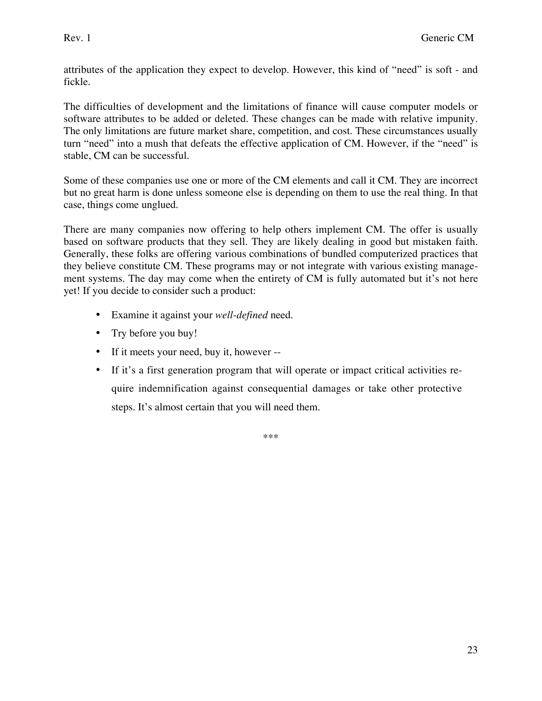attributes of the application they expect to develop. However, this kind of "need" is soft - and fickle.

The difficulties of development and the limitations of finance will cause computer models or software attributes to be added or deleted. These changes can be made with relative impunity. The only limitations are future market share, competition, and cost. These circumstances usually turn "need" into a mush that defeats the effective application of CM. However, if the "need" is stable, CM can be successful.

Some of these companies use one or more of the CM elements and call it CM. They are incorrect but no great harm is done unless someone else is depending on them to use the real thing. In that case, things come unglued.

There are many companies now offering to help others implement CM. The offer is usually based on software products that they sell. They are likely dealing in good but mistaken faith. Generally, these folks are offering various combinations of bundled computerized practices that they believe constitute CM. These programs may or not integrate with various existing management systems. The day may come when the entirety of CM is fully automated but it's not here yet! If you decide to consider such a product:

- Examine it against your *well*-*defined* need.
- Try before you buy!
- If it meets your need, buy it, however --
- If it's a first generation program that will operate or impact critical activities require indemnification against consequential damages or take other protective steps. It's almost certain that you will need them.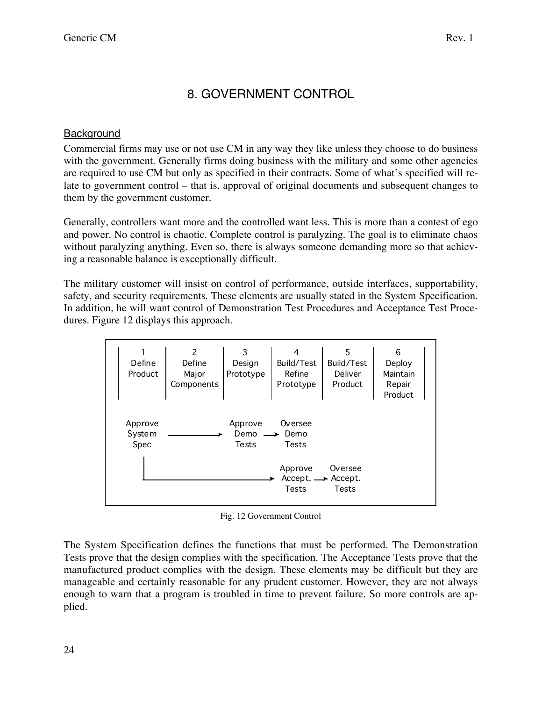# 8. GOVERNMENT CONTROL

### **Background**

Commercial firms may use or not use CM in any way they like unless they choose to do business with the government. Generally firms doing business with the military and some other agencies are required to use CM but only as specified in their contracts. Some of what's specified will relate to government control – that is, approval of original documents and subsequent changes to them by the government customer.

Generally, controllers want more and the controlled want less. This is more than a contest of ego and power. No control is chaotic. Complete control is paralyzing. The goal is to eliminate chaos without paralyzing anything. Even so, there is always someone demanding more so that achieving a reasonable balance is exceptionally difficult.

The military customer will insist on control of performance, outside interfaces, supportability, safety, and security requirements. These elements are usually stated in the System Specification. In addition, he will want control of Demonstration Test Procedures and Acceptance Test Procedures. Figure 12 displays this approach.

| Define<br>Product         | 2<br>Define<br>Major<br>Components | 3<br>Design<br>Prototype | 4<br>Build/Test<br>Refine<br>Prototype                       | 5<br>Build/Test<br>Deliver<br>Product | 6<br>Deploy<br>Maintain<br>Repair<br>Product |  |
|---------------------------|------------------------------------|--------------------------|--------------------------------------------------------------|---------------------------------------|----------------------------------------------|--|
| Approve<br>System<br>Spec |                                    | Approve<br>Demo<br>Tests | Oversee<br>Demo<br>Tests                                     |                                       |                                              |  |
|                           |                                    |                          | Approve<br>$Accept. \longrightarrow Accept.$<br><b>Tests</b> | Oversee<br><b>Tests</b>               |                                              |  |

Fig. 12 Government Control

The System Specification defines the functions that must be performed. The Demonstration Tests prove that the design complies with the specification. The Acceptance Tests prove that the manufactured product complies with the design. These elements may be difficult but they are manageable and certainly reasonable for any prudent customer. However, they are not always enough to warn that a program is troubled in time to prevent failure. So more controls are applied.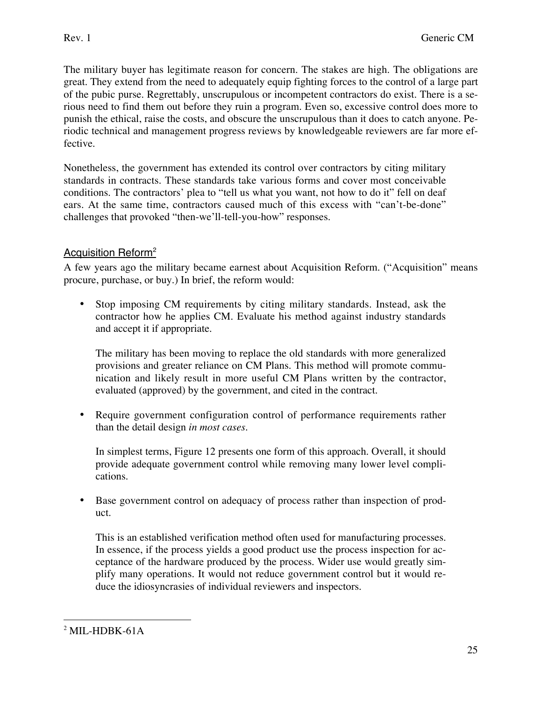The military buyer has legitimate reason for concern. The stakes are high. The obligations are great. They extend from the need to adequately equip fighting forces to the control of a large part of the pubic purse. Regrettably, unscrupulous or incompetent contractors do exist. There is a serious need to find them out before they ruin a program. Even so, excessive control does more to punish the ethical, raise the costs, and obscure the unscrupulous than it does to catch anyone. Periodic technical and management progress reviews by knowledgeable reviewers are far more effective.

Nonetheless, the government has extended its control over contractors by citing military standards in contracts. These standards take various forms and cover most conceivable conditions. The contractors' plea to "tell us what you want, not how to do it" fell on deaf ears. At the same time, contractors caused much of this excess with "can't-be-done" challenges that provoked "then-we'll-tell-you-how" responses.

# Acquisition Reform2

A few years ago the military became earnest about Acquisition Reform. ("Acquisition" means procure, purchase, or buy.) In brief, the reform would:

• Stop imposing CM requirements by citing military standards. Instead, ask the contractor how he applies CM. Evaluate his method against industry standards and accept it if appropriate.

The military has been moving to replace the old standards with more generalized provisions and greater reliance on CM Plans. This method will promote communication and likely result in more useful CM Plans written by the contractor, evaluated (approved) by the government, and cited in the contract.

• Require government configuration control of performance requirements rather than the detail design *in most cases*.

In simplest terms, Figure 12 presents one form of this approach. Overall, it should provide adequate government control while removing many lower level complications.

• Base government control on adequacy of process rather than inspection of product.

This is an established verification method often used for manufacturing processes. In essence, if the process yields a good product use the process inspection for acceptance of the hardware produced by the process. Wider use would greatly simplify many operations. It would not reduce government control but it would reduce the idiosyncrasies of individual reviewers and inspectors.

 $\overline{a}$  $2$  MIL-HDBK-61A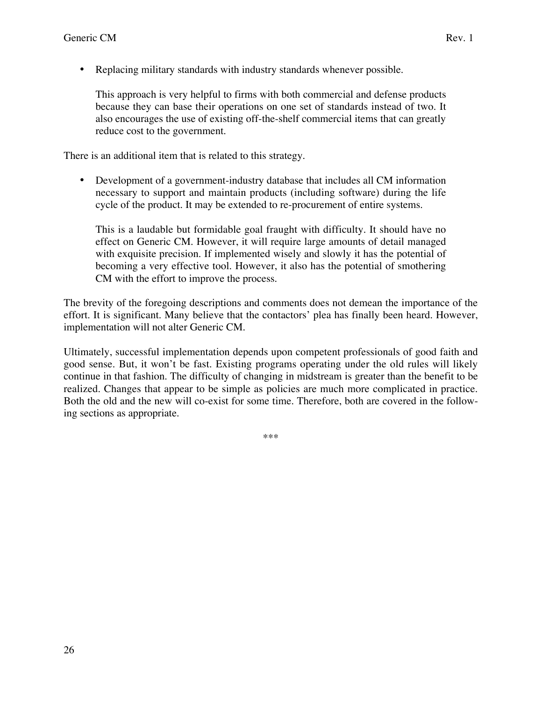• Replacing military standards with industry standards whenever possible.

This approach is very helpful to firms with both commercial and defense products because they can base their operations on one set of standards instead of two. It also encourages the use of existing off-the-shelf commercial items that can greatly reduce cost to the government.

There is an additional item that is related to this strategy.

• Development of a government-industry database that includes all CM information necessary to support and maintain products (including software) during the life cycle of the product. It may be extended to re-procurement of entire systems.

This is a laudable but formidable goal fraught with difficulty. It should have no effect on Generic CM. However, it will require large amounts of detail managed with exquisite precision. If implemented wisely and slowly it has the potential of becoming a very effective tool. However, it also has the potential of smothering CM with the effort to improve the process.

The brevity of the foregoing descriptions and comments does not demean the importance of the effort. It is significant. Many believe that the contactors' plea has finally been heard. However, implementation will not alter Generic CM.

Ultimately, successful implementation depends upon competent professionals of good faith and good sense. But, it won't be fast. Existing programs operating under the old rules will likely continue in that fashion. The difficulty of changing in midstream is greater than the benefit to be realized. Changes that appear to be simple as policies are much more complicated in practice. Both the old and the new will co-exist for some time. Therefore, both are covered in the following sections as appropriate.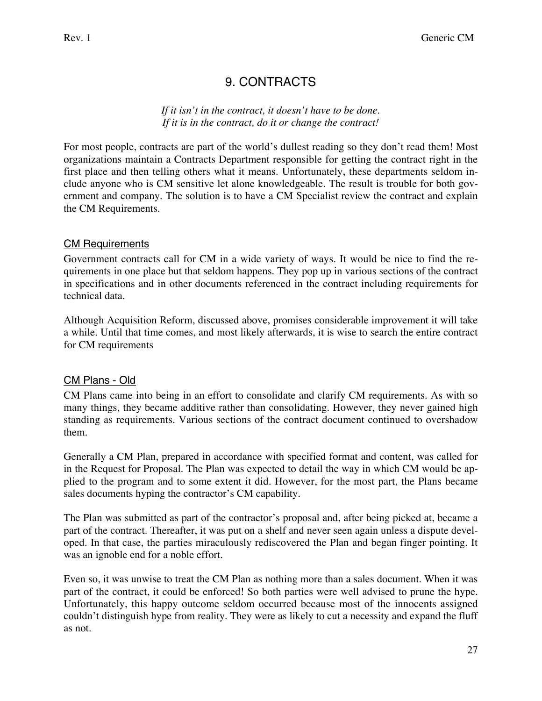# 9. CONTRACTS

*If it isn't in the contract, it doesn't have to be done. If it is in the contract, do it or change the contract!*

For most people, contracts are part of the world's dullest reading so they don't read them! Most organizations maintain a Contracts Department responsible for getting the contract right in the first place and then telling others what it means. Unfortunately, these departments seldom include anyone who is CM sensitive let alone knowledgeable. The result is trouble for both government and company. The solution is to have a CM Specialist review the contract and explain the CM Requirements.

# CM Requirements

Government contracts call for CM in a wide variety of ways. It would be nice to find the requirements in one place but that seldom happens. They pop up in various sections of the contract in specifications and in other documents referenced in the contract including requirements for technical data.

Although Acquisition Reform, discussed above, promises considerable improvement it will take a while. Until that time comes, and most likely afterwards, it is wise to search the entire contract for CM requirements

### CM Plans - Old

CM Plans came into being in an effort to consolidate and clarify CM requirements. As with so many things, they became additive rather than consolidating. However, they never gained high standing as requirements. Various sections of the contract document continued to overshadow them.

Generally a CM Plan, prepared in accordance with specified format and content, was called for in the Request for Proposal. The Plan was expected to detail the way in which CM would be applied to the program and to some extent it did. However, for the most part, the Plans became sales documents hyping the contractor's CM capability.

The Plan was submitted as part of the contractor's proposal and, after being picked at, became a part of the contract. Thereafter, it was put on a shelf and never seen again unless a dispute developed. In that case, the parties miraculously rediscovered the Plan and began finger pointing. It was an ignoble end for a noble effort.

Even so, it was unwise to treat the CM Plan as nothing more than a sales document. When it was part of the contract, it could be enforced! So both parties were well advised to prune the hype. Unfortunately, this happy outcome seldom occurred because most of the innocents assigned couldn't distinguish hype from reality. They were as likely to cut a necessity and expand the fluff as not.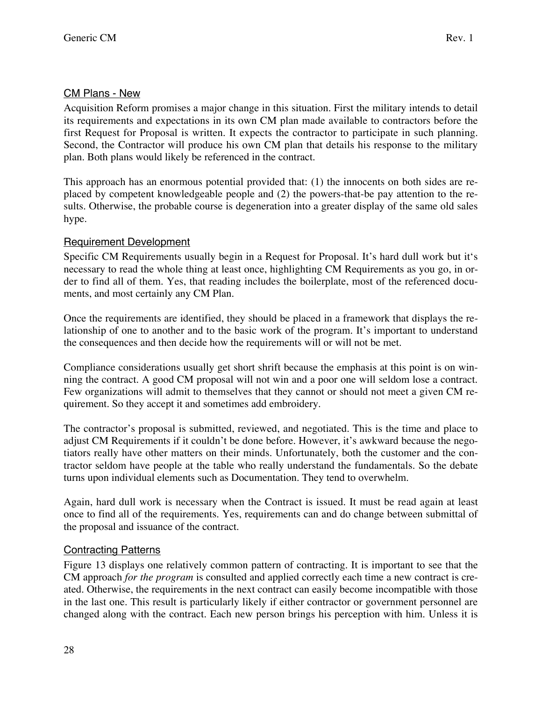### CM Plans - New

Acquisition Reform promises a major change in this situation. First the military intends to detail its requirements and expectations in its own CM plan made available to contractors before the first Request for Proposal is written. It expects the contractor to participate in such planning. Second, the Contractor will produce his own CM plan that details his response to the military plan. Both plans would likely be referenced in the contract.

This approach has an enormous potential provided that: (1) the innocents on both sides are replaced by competent knowledgeable people and (2) the powers-that-be pay attention to the results. Otherwise, the probable course is degeneration into a greater display of the same old sales hype.

### Requirement Development

Specific CM Requirements usually begin in a Request for Proposal. It's hard dull work but it's necessary to read the whole thing at least once, highlighting CM Requirements as you go, in order to find all of them. Yes, that reading includes the boilerplate, most of the referenced documents, and most certainly any CM Plan.

Once the requirements are identified, they should be placed in a framework that displays the relationship of one to another and to the basic work of the program. It's important to understand the consequences and then decide how the requirements will or will not be met.

Compliance considerations usually get short shrift because the emphasis at this point is on winning the contract. A good CM proposal will not win and a poor one will seldom lose a contract. Few organizations will admit to themselves that they cannot or should not meet a given CM requirement. So they accept it and sometimes add embroidery.

The contractor's proposal is submitted, reviewed, and negotiated. This is the time and place to adjust CM Requirements if it couldn't be done before. However, it's awkward because the negotiators really have other matters on their minds. Unfortunately, both the customer and the contractor seldom have people at the table who really understand the fundamentals. So the debate turns upon individual elements such as Documentation. They tend to overwhelm.

Again, hard dull work is necessary when the Contract is issued. It must be read again at least once to find all of the requirements. Yes, requirements can and do change between submittal of the proposal and issuance of the contract.

### Contracting Patterns

Figure 13 displays one relatively common pattern of contracting. It is important to see that the CM approach *for the program* is consulted and applied correctly each time a new contract is created. Otherwise, the requirements in the next contract can easily become incompatible with those in the last one. This result is particularly likely if either contractor or government personnel are changed along with the contract. Each new person brings his perception with him. Unless it is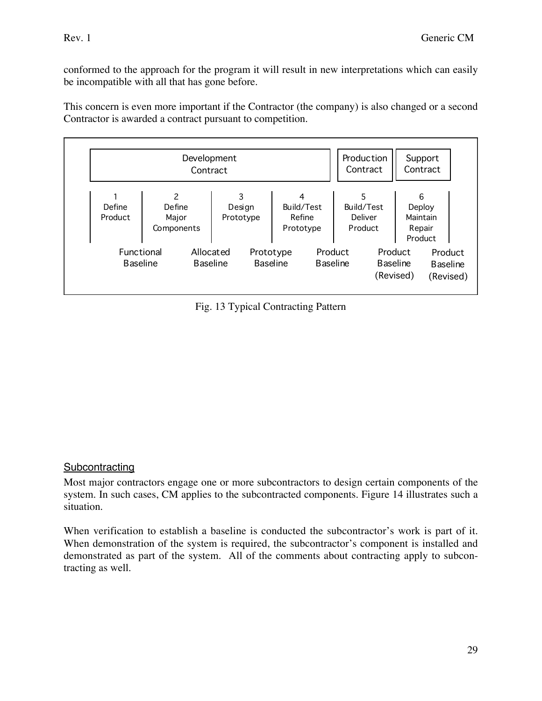conformed to the approach for the program it will result in new interpretations which can easily be incompatible with all that has gone before.

This concern is even more important if the Contractor (the company) is also changed or a second Contractor is awarded a contract pursuant to competition.

|                               | Development<br>Contract            |                                                 |                                        | Production<br>Contract                | Support<br>Contract                                                                |  |
|-------------------------------|------------------------------------|-------------------------------------------------|----------------------------------------|---------------------------------------|------------------------------------------------------------------------------------|--|
| Define<br>Product             | 2<br>Define<br>Major<br>Components | 3<br>Design<br>Prototype                        | 4<br>Build/Test<br>Refine<br>Prototype | 5<br>Build/Test<br>Deliver<br>Product | 6<br>Deploy<br>Maintain<br>Repair<br>Product                                       |  |
| Functional<br><b>Baseline</b> | Allocated                          | Prototype<br><b>Baseline</b><br><b>Baseline</b> |                                        | Product<br><b>Baseline</b>            | Product<br>Product<br><b>Baseline</b><br><b>Baseline</b><br>(Revised)<br>(Revised) |  |

Fig. 13 Typical Contracting Pattern

### **Subcontracting**

Most major contractors engage one or more subcontractors to design certain components of the system. In such cases, CM applies to the subcontracted components. Figure 14 illustrates such a situation.

When verification to establish a baseline is conducted the subcontractor's work is part of it. When demonstration of the system is required, the subcontractor's component is installed and demonstrated as part of the system. All of the comments about contracting apply to subcontracting as well.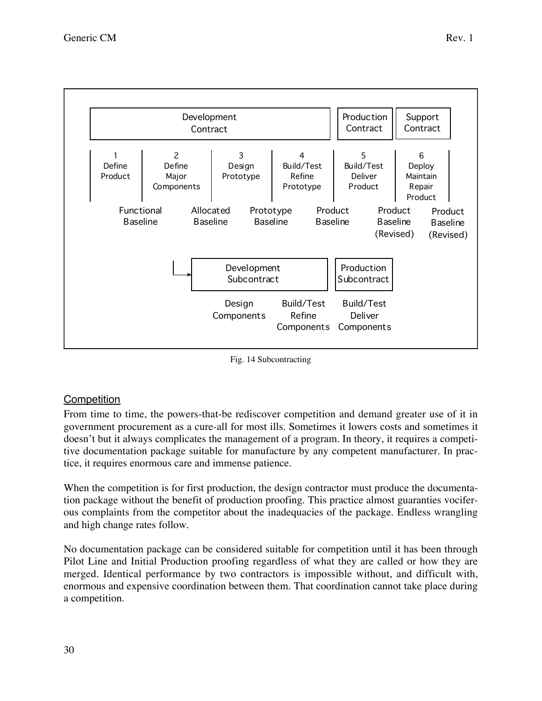

Fig. 14 Subcontracting

### **Competition**

From time to time, the powers-that-be rediscover competition and demand greater use of it in government procurement as a cure-all for most ills. Sometimes it lowers costs and sometimes it doesn't but it always complicates the management of a program. In theory, it requires a competitive documentation package suitable for manufacture by any competent manufacturer. In practice, it requires enormous care and immense patience.

When the competition is for first production, the design contractor must produce the documentation package without the benefit of production proofing. This practice almost guaranties vociferous complaints from the competitor about the inadequacies of the package. Endless wrangling and high change rates follow.

No documentation package can be considered suitable for competition until it has been through Pilot Line and Initial Production proofing regardless of what they are called or how they are merged. Identical performance by two contractors is impossible without, and difficult with, enormous and expensive coordination between them. That coordination cannot take place during a competition.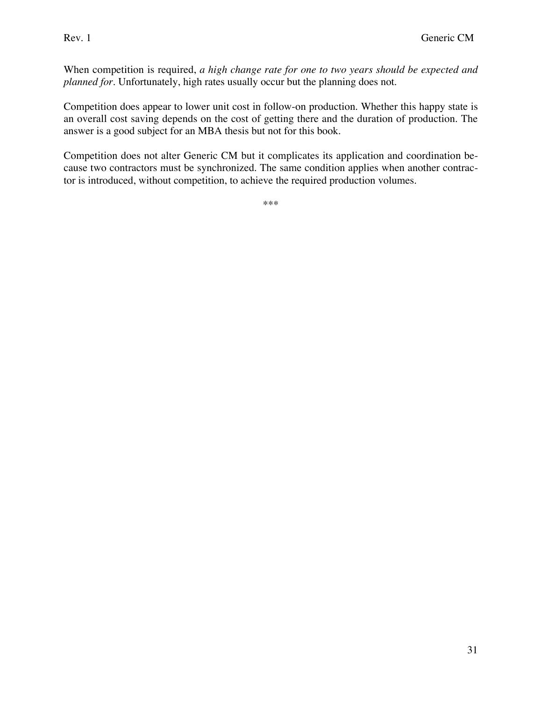When competition is required, *a high change rate for one to two years should be expected and planned for.* Unfortunately, high rates usually occur but the planning does not.

Competition does appear to lower unit cost in follow-on production. Whether this happy state is an overall cost saving depends on the cost of getting there and the duration of production. The answer is a good subject for an MBA thesis but not for this book.

Competition does not alter Generic CM but it complicates its application and coordination because two contractors must be synchronized. The same condition applies when another contractor is introduced, without competition, to achieve the required production volumes.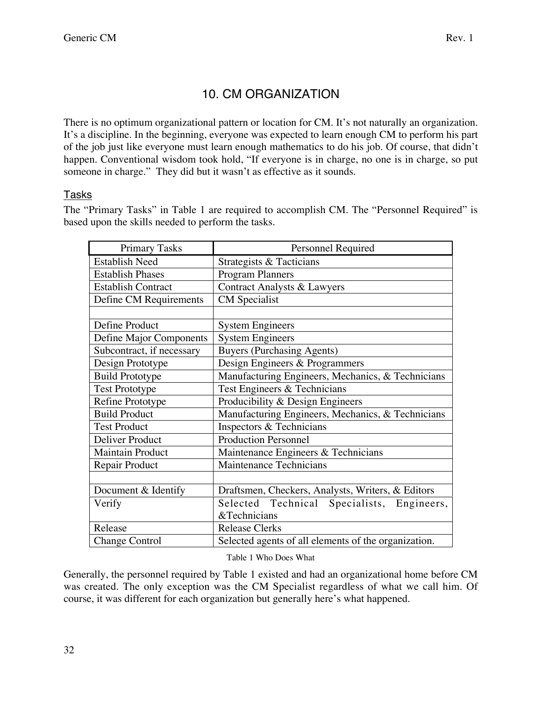# 10. CM ORGANIZATION

There is no optimum organizational pattern or location for CM. It's not naturally an organization. It's a discipline. In the beginning, everyone was expected to learn enough CM to perform his part of the job just like everyone must learn enough mathematics to do his job. Of course, that didn't happen. Conventional wisdom took hold, "If everyone is in charge, no one is in charge, so put someone in charge." They did but it wasn't as effective as it sounds.

### Tasks

The "Primary Tasks" in Table 1 are required to accomplish CM. The "Personnel Required" is based upon the skills needed to perform the tasks.

| <b>Primary Tasks</b>      | Personnel Required                                   |  |  |
|---------------------------|------------------------------------------------------|--|--|
| <b>Establish Need</b>     | Strategists & Tacticians                             |  |  |
| <b>Establish Phases</b>   | <b>Program Planners</b>                              |  |  |
| <b>Establish Contract</b> | <b>Contract Analysts &amp; Lawyers</b>               |  |  |
| Define CM Requirements    | <b>CM</b> Specialist                                 |  |  |
|                           |                                                      |  |  |
| Define Product            | <b>System Engineers</b>                              |  |  |
| Define Major Components   | <b>System Engineers</b>                              |  |  |
| Subcontract, if necessary | <b>Buyers (Purchasing Agents)</b>                    |  |  |
| Design Prototype          | Design Engineers & Programmers                       |  |  |
| <b>Build Prototype</b>    | Manufacturing Engineers, Mechanics, & Technicians    |  |  |
| <b>Test Prototype</b>     | Test Engineers & Technicians                         |  |  |
| Refine Prototype          | Producibility & Design Engineers                     |  |  |
| <b>Build Product</b>      | Manufacturing Engineers, Mechanics, & Technicians    |  |  |
| <b>Test Product</b>       | Inspectors & Technicians                             |  |  |
| Deliver Product           | <b>Production Personnel</b>                          |  |  |
| <b>Maintain Product</b>   | Maintenance Engineers & Technicians                  |  |  |
| Repair Product            | Maintenance Technicians                              |  |  |
|                           |                                                      |  |  |
| Document & Identify       | Draftsmen, Checkers, Analysts, Writers, & Editors    |  |  |
| Verify                    | Selected Technical Specialists, Engineers,           |  |  |
|                           | &Technicians                                         |  |  |
| Release                   | <b>Release Clerks</b>                                |  |  |
| <b>Change Control</b>     | Selected agents of all elements of the organization. |  |  |

#### Table 1 Who Does What

Generally, the personnel required by Table 1 existed and had an organizational home before CM was created. The only exception was the CM Specialist regardless of what we call him. Of course, it was different for each organization but generally here's what happened.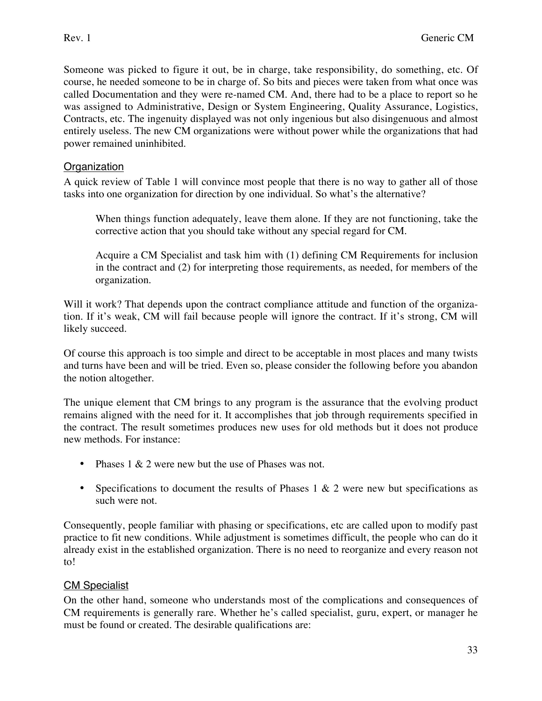Someone was picked to figure it out, be in charge, take responsibility, do something, etc. Of course, he needed someone to be in charge of. So bits and pieces were taken from what once was called Documentation and they were re-named CM. And, there had to be a place to report so he was assigned to Administrative, Design or System Engineering, Quality Assurance, Logistics, Contracts, etc. The ingenuity displayed was not only ingenious but also disingenuous and almost entirely useless. The new CM organizations were without power while the organizations that had power remained uninhibited.

### **Organization**

A quick review of Table 1 will convince most people that there is no way to gather all of those tasks into one organization for direction by one individual. So what's the alternative?

When things function adequately, leave them alone. If they are not functioning, take the corrective action that you should take without any special regard for CM.

Acquire a CM Specialist and task him with (1) defining CM Requirements for inclusion in the contract and (2) for interpreting those requirements, as needed, for members of the organization.

Will it work? That depends upon the contract compliance attitude and function of the organization. If it's weak, CM will fail because people will ignore the contract. If it's strong, CM will likely succeed.

Of course this approach is too simple and direct to be acceptable in most places and many twists and turns have been and will be tried. Even so, please consider the following before you abandon the notion altogether.

The unique element that CM brings to any program is the assurance that the evolving product remains aligned with the need for it. It accomplishes that job through requirements specified in the contract. The result sometimes produces new uses for old methods but it does not produce new methods. For instance:

- Phases 1 & 2 were new but the use of Phases was not.
- Specifications to document the results of Phases  $1 \& 2$  were new but specifications as such were not.

Consequently, people familiar with phasing or specifications, etc are called upon to modify past practice to fit new conditions. While adjustment is sometimes difficult, the people who can do it already exist in the established organization. There is no need to reorganize and every reason not to!

### CM Specialist

On the other hand, someone who understands most of the complications and consequences of CM requirements is generally rare. Whether he's called specialist, guru, expert, or manager he must be found or created. The desirable qualifications are: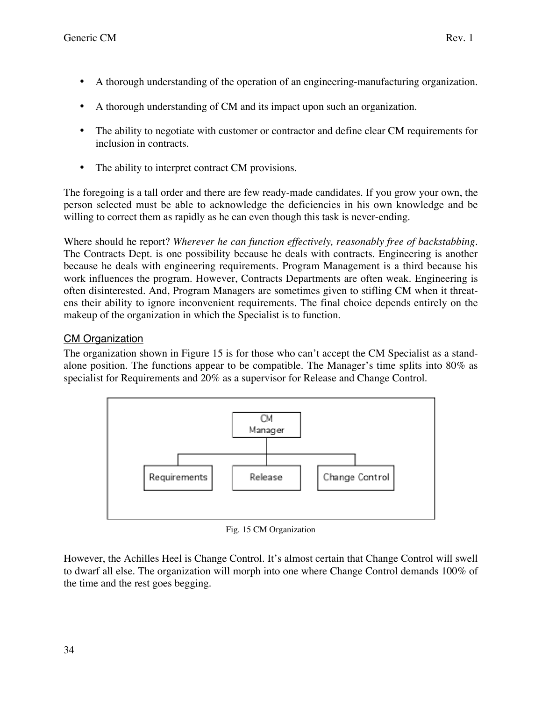- A thorough understanding of the operation of an engineering-manufacturing organization.
- A thorough understanding of CM and its impact upon such an organization.
- The ability to negotiate with customer or contractor and define clear CM requirements for inclusion in contracts.
- The ability to interpret contract CM provisions.

The foregoing is a tall order and there are few ready-made candidates. If you grow your own, the person selected must be able to acknowledge the deficiencies in his own knowledge and be willing to correct them as rapidly as he can even though this task is never-ending.

Where should he report? *Wherever he can function effectively, reasonably free of backstabbing.* The Contracts Dept. is one possibility because he deals with contracts. Engineering is another because he deals with engineering requirements. Program Management is a third because his work influences the program. However, Contracts Departments are often weak. Engineering is often disinterested. And, Program Managers are sometimes given to stifling CM when it threatens their ability to ignore inconvenient requirements. The final choice depends entirely on the makeup of the organization in which the Specialist is to function.

### **CM Organization**

The organization shown in Figure 15 is for those who can't accept the CM Specialist as a standalone position. The functions appear to be compatible. The Manager's time splits into 80% as specialist for Requirements and 20% as a supervisor for Release and Change Control.



Fig. 15 CM Organization

However, the Achilles Heel is Change Control. It's almost certain that Change Control will swell to dwarf all else. The organization will morph into one where Change Control demands 100% of the time and the rest goes begging.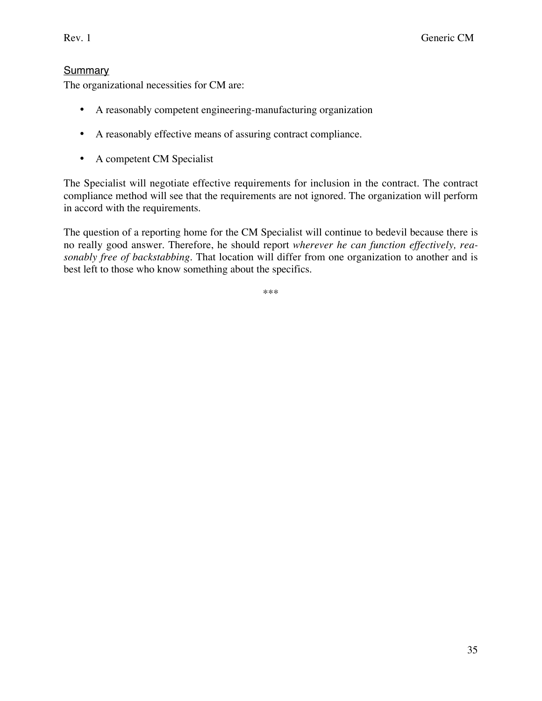### **Summary**

The organizational necessities for CM are:

- A reasonably competent engineering-manufacturing organization
- A reasonably effective means of assuring contract compliance.
- A competent CM Specialist

The Specialist will negotiate effective requirements for inclusion in the contract. The contract compliance method will see that the requirements are not ignored. The organization will perform in accord with the requirements.

The question of a reporting home for the CM Specialist will continue to bedevil because there is no really good answer. Therefore, he should report *wherever he can function effectively, reasonably free of backstabbing.* That location will differ from one organization to another and is best left to those who know something about the specifics.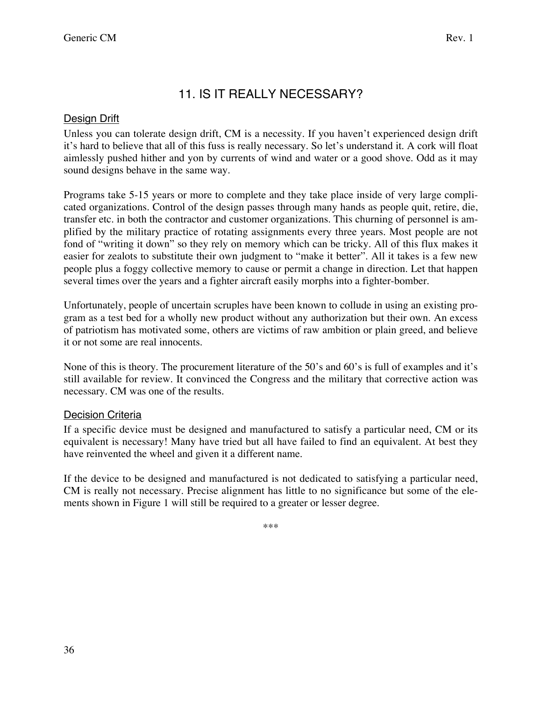# 11. IS IT REALLY NECESSARY?

# Design Drift

Unless you can tolerate design drift, CM is a necessity. If you haven't experienced design drift it's hard to believe that all of this fuss is really necessary. So let's understand it. A cork will float aimlessly pushed hither and yon by currents of wind and water or a good shove. Odd as it may sound designs behave in the same way.

Programs take 5-15 years or more to complete and they take place inside of very large complicated organizations. Control of the design passes through many hands as people quit, retire, die, transfer etc. in both the contractor and customer organizations. This churning of personnel is amplified by the military practice of rotating assignments every three years. Most people are not fond of "writing it down" so they rely on memory which can be tricky. All of this flux makes it easier for zealots to substitute their own judgment to "make it better". All it takes is a few new people plus a foggy collective memory to cause or permit a change in direction. Let that happen several times over the years and a fighter aircraft easily morphs into a fighter-bomber.

Unfortunately, people of uncertain scruples have been known to collude in using an existing program as a test bed for a wholly new product without any authorization but their own. An excess of patriotism has motivated some, others are victims of raw ambition or plain greed, and believe it or not some are real innocents.

None of this is theory. The procurement literature of the 50's and 60's is full of examples and it's still available for review. It convinced the Congress and the military that corrective action was necessary. CM was one of the results.

# Decision Criteria

If a specific device must be designed and manufactured to satisfy a particular need, CM or its equivalent is necessary! Many have tried but all have failed to find an equivalent. At best they have reinvented the wheel and given it a different name.

If the device to be designed and manufactured is not dedicated to satisfying a particular need, CM is really not necessary. Precise alignment has little to no significance but some of the elements shown in Figure 1 will still be required to a greater or lesser degree.